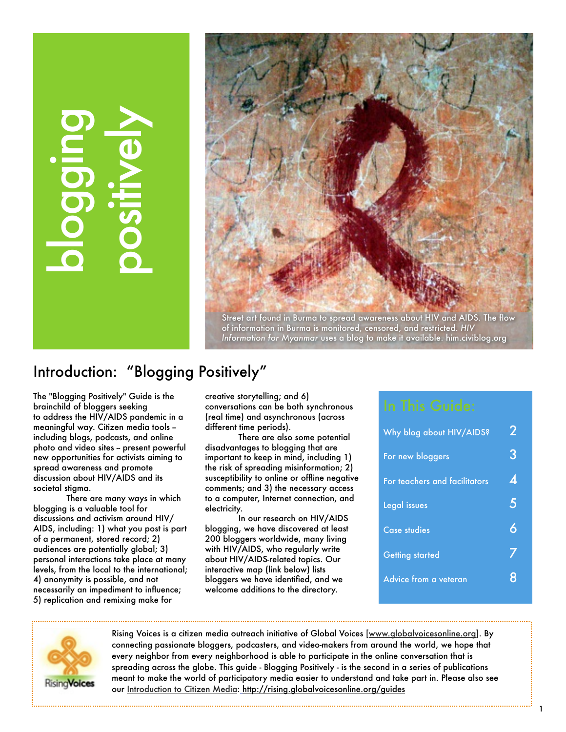# blogging positively



Street art found in Burma to spread awareness about HIV and AIDS. The flow of information in Burma is monitored, censored, and restricted. *HIV Information for Myanmar* uses a blog to make it available. him.civiblog.org

# Introduction: "Blogging Positively"

The "Blogging Positively" Guide is the brainchild of bloggers seeking to address the HIV/AIDS pandemic in a meaningful way. Citizen media tools - including blogs, podcasts, and online photo and video sites - present powerful new opportunities for activists aiming to spread awareness and promote discussion about HIV/AIDS and its societal stigma.

There are many ways in which blogging is a valuable tool for discussions and activism around HIV/ AIDS, including: 1) what you post is part of a permanent, stored record; 2) audiences are potentially global; 3) personal interactions take place at many levels, from the local to the international; 4) anonymity is possible, and not necessarily an impediment to influence; 5) replication and remixing make for

creative storytelling; and 6) conversations can be both synchronous (real time) and asynchronous (across different time periods).

There are also some potential disadvantages to blogging that are important to keep in mind, including 1) the risk of spreading misinformation; 2) susceptibility to online or offline negative comments; and 3) the necessary access to a computer, Internet connection, and electricity.

In our research on HIV/AIDS blogging, we have discovered at least 200 bloggers worldwide, many living with HIV/AIDS, who regularly write about HIV/AIDS-related topics. Our interactive map (link below) lists bloggers we have identified, and we welcome additions to the directory.

| Why blog about HIV/AIDS?      | 2  |
|-------------------------------|----|
| For new bloggers              | 3  |
| For teachers and facilitators | Δ. |
| Legal issues                  | 5  |
| <b>Case studies</b>           | Á  |
| <b>Getting started</b>        |    |
| Advice from a veteran         |    |
|                               |    |



Rising Voices is a citizen media outreach initiative of Global Voices [\[www.globalvoicesonline.org\]](http://globalvoicesonline.org). By connecting passionate bloggers, podcasters, and video-makers from around the world, we hope that every neighbor from every neighborhood is able to participate in the online conversation that is spreading across the globe. This guide - Blogging Positively - is the second in a series of publications meant to make the world of participatory media easier to understand and take part in. Please also see our [Introduction to Citizen Media:](http://rising.globalvoicesonline.org/guides/) [http://rising.globalvoicesonline.org/guides](http://rising.globalvoicesonline.org/guides/)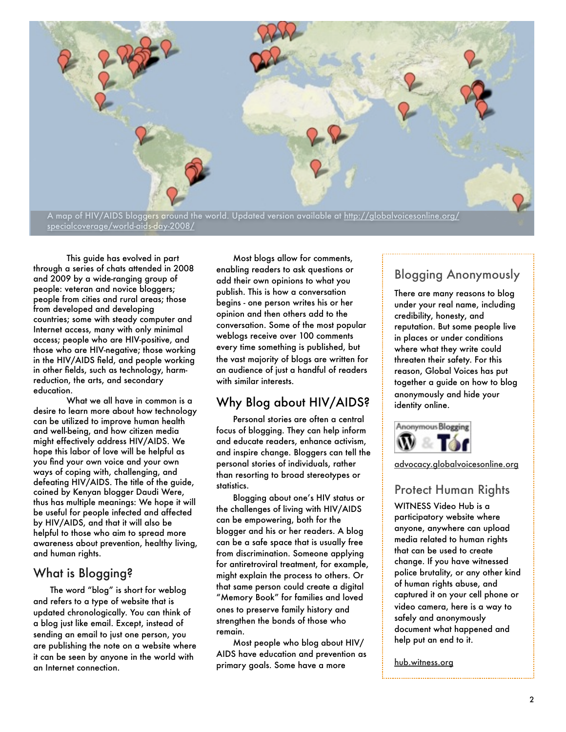

This guide has evolved in part through a series of chats attended in 2008 and 2009 by a wide-ranging group of people: veteran and novice bloggers; people from cities and rural areas; those from developed and developing countries; some with steady computer and Internet access, many with only minimal access; people who are HIV-positive, and those who are HIV-negative; those working in the HIV/AIDS field, and people working in other fields, such as technology, harmreduction, the arts, and secondary education.

What we all have in common is a desire to learn more about how technology can be utilized to improve human health and well-being, and how citizen media might effectively address HIV/AIDS. We hope this labor of love will be helpful as you find your own voice and your own ways of coping with, challenging, and defeating HIV/AIDS. The title of the guide, coined by Kenyan blogger Daudi Were, thus has multiple meanings: We hope it will be useful for people infected and affected by HIV/AIDS, and that it will also be helpful to those who aim to spread more awareness about prevention, healthy living, and human rights.

#### What is Blogging?

The word "blog" is short for weblog and refers to a type of website that is updated chronologically. You can think of a blog just like email. Except, instead of sending an email to just one person, you are publishing the note on a website where it can be seen by anyone in the world with an Internet connection.

Most blogs allow for comments, enabling readers to ask questions or add their own opinions to what you publish. This is how a conversation begins - one person writes his or her opinion and then others add to the conversation. Some of the most popular weblogs receive over 100 comments every time something is published, but the vast majority of blogs are written for an audience of just a handful of readers with similar interests.

#### Why Blog about HIV/AIDS?

Personal stories are often a central focus of blogging. They can help inform and educate readers, enhance activism, and inspire change. Bloggers can tell the personal stories of individuals, rather than resorting to broad stereotypes or statistics.

Blogging about one's HIV status or the challenges of living with HIV/AIDS can be empowering, both for the blogger and his or her readers. A blog can be a safe space that is usually free from discrimination. Someone applying for antiretroviral treatment, for example, might explain the process to others. Or that same person could create a digital "Memory Book" for families and loved ones to preserve family history and strengthen the bonds of those who remain.

Most people who blog about HIV/ AIDS have education and prevention as primary goals. Some have a more

# Blogging Anonymously

There are many reasons to blog under your real name, including credibility, honesty, and reputation. But some people live in places or under conditions where what they write could threaten their safety. For this reason, Global Voices has put together a guide on how to blog anonymously and hide your identity online.



[advocacy.globalvoicesonline.org](http://advocacy.globalvoicesonline.org)

#### Protect Human Rights

WITNESS Video Hub is a participatory website where anyone, anywhere can upload media related to human rights that can be used to create change. If you have witnessed police brutality, or any other kind of human rights abuse, and captured it on your cell phone or video camera, here is a way to safely and anonymously document what happened and help put an end to it.

[hub.witness.org](http://www.witness.org/hub)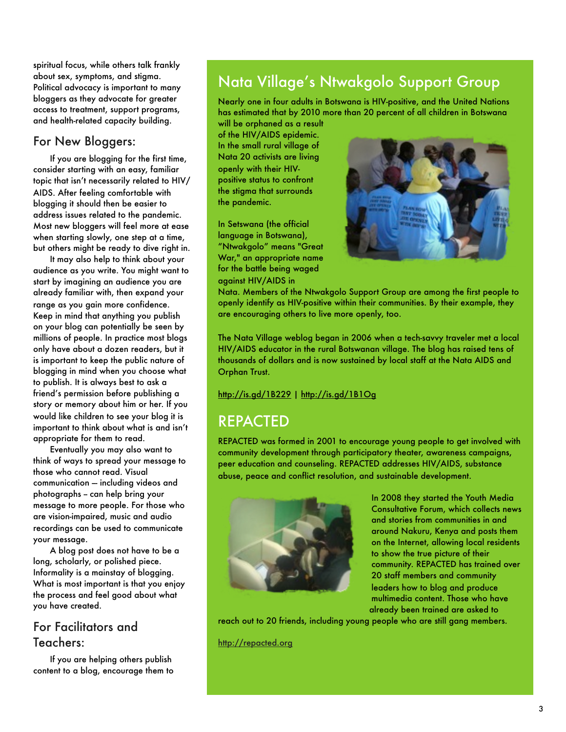spiritual focus, while others talk frankly about sex, symptoms, and stigma. Political advocacy is important to many bloggers as they advocate for greater access to treatment, support programs, and health-related capacity building.

#### For New Bloggers:

If you are blogging for the first time, consider starting with an easy, familiar topic that isn't necessarily related to HIV/ AIDS. After feeling comfortable with blogging it should then be easier to address issues related to the pandemic. Most new bloggers will feel more at ease when starting slowly, one step at a time, but others might be ready to dive right in.

It may also help to think about your audience as you write. You might want to start by imagining an audience you are already familiar with, then expand your range as you gain more confidence. Keep in mind that anything you publish on your blog can potentially be seen by millions of people. In practice most blogs only have about a dozen readers, but it is important to keep the public nature of blogging in mind when you choose what to publish. It is always best to ask a friend's permission before publishing a story or memory about him or her. If you would like children to see your blog it is important to think about what is and isn't appropriate for them to read.

Eventually you may also want to think of ways to spread your message to those who cannot read. Visual communication -- including videos and photographs -- can help bring your message to more people. For those who are vision-impaired, music and audio recordings can be used to communicate your message.

A blog post does not have to be a long, scholarly, or polished piece. Informality is a mainstay of blogging. What is most important is that you enjoy the process and feel good about what you have created.

#### For Facilitators and Teachers:

If you are helping others publish content to a blog, encourage them to

# Nata Village's Ntwakgolo Support Group

Nearly one in four adults in Botswana is HIV-positive, and the United Nations has estimated that by 2010 more than 20 percent of all children in Botswana

will be orphaned as a result of the HIV/AIDS epidemic. In the small rural village of Nata 20 activists are living openly with their HIVpositive status to confront the stigma that surrounds the pandemic.

In Setswana (the official language in Botswana), "Ntwakgolo" means "Great War," an appropriate name for the battle being waged against HIV/AIDS in



Nata. Members of the Ntwakgolo Support Group are among the first people to openly identify as HIV-positive within their communities. By their example, they are encouraging others to live more openly, too.

The Nata Village weblog began in 2006 when a tech-savvy traveler met a local HIV/AIDS educator in the rural Botswanan village. The blog has raised tens of thousands of dollars and is now sustained by local staff at the Nata AIDS and Orphan Trust.

#### <http://is.gd/1B229>|<http://is.gd/1B1Og>

# REPACTED

REPACTED was formed in 2001 to encourage young people to get involved with community development through participatory theater, awareness campaigns, peer education and counseling. REPACTED addresses HIV/AIDS, substance abuse, peace and conflict resolution, and sustainable development.



In 2008 they started the Youth Media Consultative Forum, which collects news and stories from communities in and around Nakuru, Kenya and posts them on the Internet, allowing local residents to show the true picture of their community. REPACTED has trained over 20 staff members and community leaders how to blog and produce multimedia content. Those who have already been trained are asked to

reach out to 20 friends, including young people who are still gang members.

<http://repacted.org>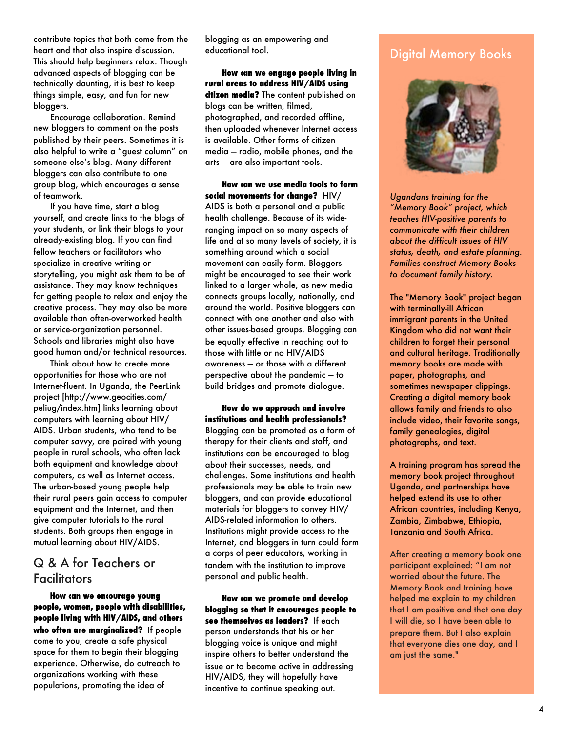contribute topics that both come from the heart and that also inspire discussion. This should help beginners relax. Though advanced aspects of blogging can be technically daunting, it is best to keep things simple, easy, and fun for new bloggers.

Encourage collaboration. Remind new bloggers to comment on the posts published by their peers. Sometimes it is also helpful to write a "guest column" on someone else's blog. Many different bloggers can also contribute to one group blog, which encourages a sense of teamwork.

If you have time, start a blog yourself, and create links to the blogs of your students, or link their blogs to your already-existing blog. If you can find fellow teachers or facilitators who specialize in creative writing or storytelling, you might ask them to be of assistance. They may know techniques for getting people to relax and enjoy the creative process. They may also be more available than often-overworked health or service-organization personnel. Schools and libraries might also have good human and/or technical resources.

Think about how to create more opportunities for those who are not Internet-fluent. In Uganda, the PeerLink project [\[http://www.geocities.com/](http://www.geocities.com/peliug/index.htm) [peliug/index.htm\]](http://www.geocities.com/peliug/index.htm) links learning about computers with learning about HIV/ AIDS. Urban students, who tend to be computer savvy, are paired with young people in rural schools, who often lack both equipment and knowledge about computers, as well as Internet access. The urban-based young people help their rural peers gain access to computer equipment and the Internet, and then give computer tutorials to the rural students. Both groups then engage in mutual learning about HIV/AIDS.

#### Q & A for Teachers or **Facilitators**

**How can we encourage young people, women, people with disabilities, people living with HIV/AIDS, and others who often are marginalized?** If people come to you, create a safe physical space for them to begin their blogging experience. Otherwise, do outreach to organizations working with these populations, promoting the idea of

blogging as an empowering and educational tool.

**How can we engage people living in rural areas to address HIV/AIDS using citizen media?** The content published on blogs can be written, filmed, photographed, and recorded offline, then uploaded whenever Internet access is available. Other forms of citizen media — radio, mobile phones, and the arts — are also important tools.

**How can we use media tools to form social movements for change?** HIV/ AIDS is both a personal and a public health challenge. Because of its wideranging impact on so many aspects of life and at so many levels of society, it is something around which a social movement can easily form. Bloggers might be encouraged to see their work linked to a larger whole, as new media connects groups locally, nationally, and around the world. Positive bloggers can connect with one another and also with other issues-based groups. Blogging can be equally effective in reaching out to those with little or no HIV/AIDS awareness — or those with a different perspective about the pandemic — to build bridges and promote dialogue.

**How do we approach and involve institutions and health professionals?**  Blogging can be promoted as a form of therapy for their clients and staff, and institutions can be encouraged to blog about their successes, needs, and challenges. Some institutions and health professionals may be able to train new bloggers, and can provide educational materials for bloggers to convey HIV/ AIDS-related information to others. Institutions might provide access to the Internet, and bloggers in turn could form a corps of peer educators, working in tandem with the institution to improve personal and public health.

**How can we promote and develop blogging so that it encourages people to see themselves as leaders?** If each person understands that his or her blogging voice is unique and might inspire others to better understand the issue or to become active in addressing HIV/AIDS, they will hopefully have incentive to continue speaking out.

#### Digital Memory Books



*Ugandans training for the "Memory Book" project, which teaches HIV-positive parents to communicate with their children about the difficult issues of HIV status, death, and estate planning. Families construct Memory Books to document family history.* 

The "Memory Book" project began with terminally-ill African immigrant parents in the United Kingdom who did not want their children to forget their personal and cultural heritage. Traditionally memory books are made with paper, photographs, and sometimes newspaper clippings. Creating a digital memory book allows family and friends to also include video, their favorite songs, family genealogies, digital photographs, and text.

A training program has spread the memory book project throughout Uganda, and partnerships have helped extend its use to other African countries, including Kenya, Zambia, Zimbabwe, Ethiopia, Tanzania and South Africa.

After creating a memory book one participant explained: "I am not worried about the future. The Memory Book and training have helped me explain to my children that I am positive and that one day I will die, so I have been able to prepare them. But I also explain that everyone dies one day, and I am just the same."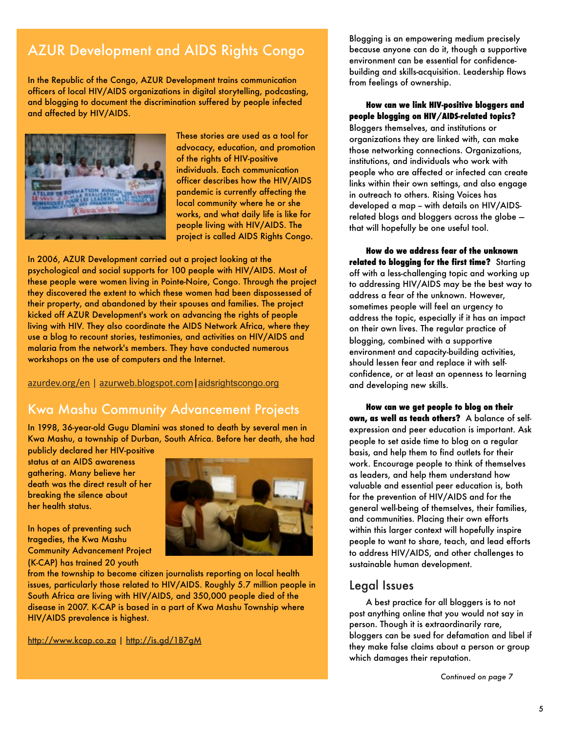# AZUR Development and AIDS Rights Congo

In the Republic of the Congo, AZUR Development trains communication officers of local HIV/AIDS organizations in digital storytelling, podcasting, and blogging to document the discrimination suffered by people infected and affected by HIV/AIDS.



These stories are used as a tool for advocacy, education, and promotion of the rights of HIV-positive individuals. Each communication officer describes how the HIV/AIDS pandemic is currently affecting the local community where he or she works, and what daily life is like for people living with HIV/AIDS. The project is called AIDS Rights Congo.

In 2006, AZUR Development carried out a project looking at the psychological and social supports for 100 people with HIV/AIDS. Most of these people were women living in Pointe-Noire, Congo. Through the project they discovered the extent to which these women had been dispossessed of their property, and abandoned by their spouses and families. The project kicked off AZUR Development's work on advancing the rights of people living with HIV. They also coordinate the AIDS Network Africa, where they use a blog to recount stories, testimonies, and activities on HIV/AIDS and malaria from the network's members. They have conducted numerous workshops on the use of computers and the Internet.

[azurdev.org/en-](http://azurdev.org/en)|[-azurweb.blogspot.com](http://azurweb.blogspot.com)**|**[aidsrightscongo.org](http://aidsrightscongo.org/)

#### Kwa Mashu Community Advancement Projects

In 1998, 36-year-old Gugu Dlamini was stoned to death by several men in Kwa Mashu, a township of Durban, South Africa. Before her death, she had

publicly declared her HIV-positive status at an AIDS awareness gathering. Many believe her death was the direct result of her breaking the silence about her health status.



In hopes of preventing such tragedies, the Kwa Mashu Community Advancement Project (K-CAP) has trained 20 youth

from the township to become citizen journalists reporting on local health issues, particularly those related to HIV/AIDS. Roughly 5.7 million people in South Africa are living with HIV/AIDS, and 350,000 people died of the disease in 2007. K-CAP is based in a part of Kwa Mashu Township where HIV/AIDS prevalence is highest.

<http://www.kcap.co.za>|<http://is.gd/1B7gM>

Blogging is an empowering medium precisely because anyone can do it, though a supportive environment can be essential for confidencebuilding and skills-acquisition. Leadership flows from feelings of ownership.

#### **How can we link HIV-positive bloggers and people blogging on HIV/AIDS-related topics?**

Bloggers themselves, and institutions or organizations they are linked with, can make those networking connections. Organizations, institutions, and individuals who work with people who are affected or infected can create links within their own settings, and also engage in outreach to others. Rising Voices has developed a map - with details on HIV/AIDSrelated blogs and bloggers across the globe that will hopefully be one useful tool.

**How do we address fear of the unknown related to blogging for the first time?** Starting off with a less-challenging topic and working up to addressing HIV/AIDS may be the best way to address a fear of the unknown. However, sometimes people will feel an urgency to address the topic, especially if it has an impact on their own lives. The regular practice of blogging, combined with a supportive environment and capacity-building activities, should lessen fear and replace it with selfconfidence, or at least an openness to learning and developing new skills.

**How can we get people to blog on their own, as well as teach others?** A balance of selfexpression and peer education is important. Ask people to set aside time to blog on a regular basis, and help them to find outlets for their work. Encourage people to think of themselves as leaders, and help them understand how valuable and essential peer education is, both for the prevention of HIV/AIDS and for the general well-being of themselves, their families, and communities. Placing their own efforts within this larger context will hopefully inspire people to want to share, teach, and lead efforts to address HIV/AIDS, and other challenges to sustainable human development.

#### Legal Issues

A best practice for all bloggers is to not post anything online that you would not say in person. Though it is extraordinarily rare, bloggers can be sued for defamation and libel if they make false claims about a person or group which damages their reputation.

*Continued on page 7*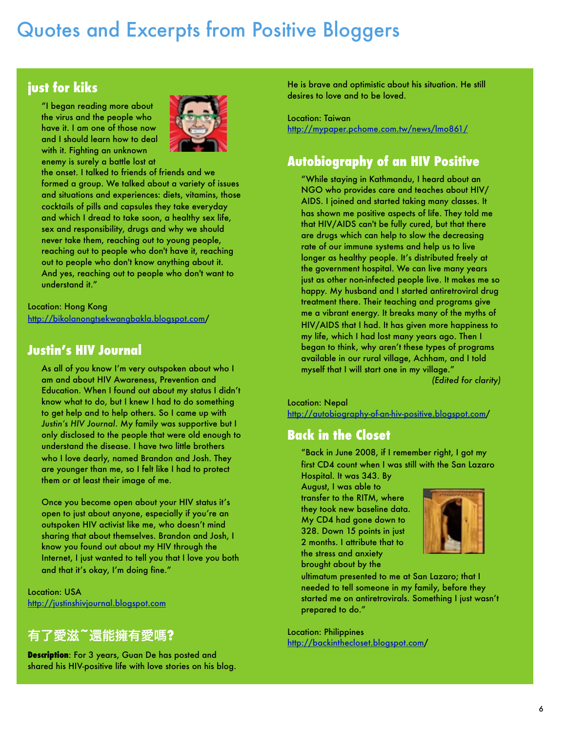# Quotes and Excerpts from Positive Bloggers

## **just for kiks**

"I began reading more about the virus and the people who have it. I am one of those now and I should learn how to deal with it. Fighting an unknown enemy is surely a battle lost at



the onset. I talked to friends of friends and we formed a group. We talked about a variety of issues and situations and experiences: diets, vitamins, those cocktails of pills and capsules they take everyday and which I dread to take soon, a healthy sex life, sex and responsibility, drugs and why we should never take them, reaching out to young people, reaching out to people who don't have it, reaching out to people who don't know anything about it. And yes, reaching out to people who don't want to understand it."

Location: Hong Kong [http://bikolanongtsekwangbakla.blogspot.com/](http://bikolanongtsekwangbakla.blogspot.com)

#### **Justin's HIV Journal**

As all of you know I'm very outspoken about who I am and about HIV Awareness, Prevention and Education. When I found out about my status I didn't know what to do, but I knew I had to do something to get help and to help others. So I came up with *Justin's HIV Journal*. My family was supportive but I only disclosed to the people that were old enough to understand the disease. I have two little brothers who I love dearly, named Brandon and Josh. They are younger than me, so I felt like I had to protect them or at least their image of me.

Once you become open about your HIV status it's open to just about anyone, especially if you're an outspoken HIV activist like me, who doesn't mind sharing that about themselves. Brandon and Josh, I know you found out about my HIV through the Internet, I just wanted to tell you that I love you both and that it's okay, I'm doing fine."

Location: USA <http://justinshivjournal.blogspot.com>

#### 有了愛滋**~**還能擁有愛䆩**?**

**Description**: For 3 years, Guan De has posted and shared his HIV-positive life with love stories on his blog. He is brave and optimistic about his situation. He still desires to love and to be loved.

Location: Taiwan <http://mypaper.pchome.com.tw/news/lmo861/>

## **Autobiography of an HIV Positive**

"While staying in Kathmandu, I heard about an NGO who provides care and teaches about HIV/ AIDS. I joined and started taking many classes. It has shown me positive aspects of life. They told me that HIV/AIDS can't be fully cured, but that there are drugs which can help to slow the decreasing rate of our immune systems and help us to live longer as healthy people. It's distributed freely at the government hospital. We can live many years just as other non-infected people live. It makes me so happy. My husband and I started antiretroviral drug treatment there. Their teaching and programs give me a vibrant energy. It breaks many of the myths of HIV/AIDS that I had. It has given more happiness to my life, which I had lost many years ago. Then I began to think, why aren't these types of programs available in our rural village, Achham, and I told myself that I will start one in my village."

*(Edited for clarity)*

Location: Nepal [http://autobiography-of-an-hiv-positive.blogspot.com/](http://autobiography-of-an-hiv-positive.blogspot.com)

#### **Back in the Closet**

"Back in June 2008, if I remember right, I got my first CD4 count when I was still with the San Lazaro Hospital. It was 343. By

August, I was able to transfer to the RITM, where they took new baseline data. My CD4 had gone down to 328. Down 15 points in just 2 months. I attribute that to the stress and anxiety brought about by the



ultimatum presented to me at San Lazaro; that I needed to tell someone in my family, before they started me on antiretrovirals. Something I just wasn't prepared to do."

Location: Philippines [http://backinthecloset.blogspot.com/](http://backinthecloset.blogspot.com)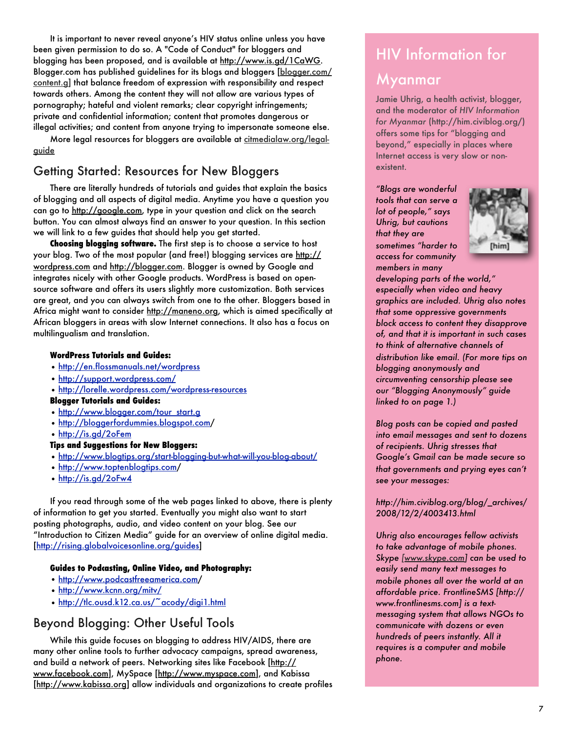It is important to never reveal anyone's HIV status online unless you have been given permission to do so. A "Code of Conduct" for bloggers and blogging has been proposed, and is available at [http://www.is.gd/1CaWG.](http://www.is.gd/1CaWG) Blogger.com has published guidelines for its blogs and bloggers [\[blogger.com/](http://www.blogger.com/content.g) [content.g\]](http://www.blogger.com/content.g) that balance freedom of expression with responsibility and respect towards others. Among the content they will not allow are various types of pornography; hateful and violent remarks; clear copyright infringements; private and confidential information; content that promotes dangerous or illegal activities; and content from anyone trying to impersonate someone else.

More legal resources for bloggers are available at [citmedialaw.org/legal](http://www.citmedialaw.org/legal-guide)[guide](http://www.citmedialaw.org/legal-guide)

#### Getting Started: Resources for New Bloggers

There are literally hundreds of tutorials and guides that explain the basics of blogging and all aspects of digital media. Anytime you have a question you can go to [http://google.com,](http://google.com) type in your question and click on the search button. You can almost always find an answer to your question. In this section we will link to a few guides that should help you get started.

**Choosing blogging software.** The first step is to choose a service to host your blog. Two of the most popular (and free!) blogging services are [http://](http://wordpress.com) [wordpress.com](http://wordpress.com) and [http://blogger.com.](http://blogger.com) Blogger is owned by Google and integrates nicely with other Google products. WordPress is based on opensource software and offers its users slightly more customization. Both services are great, and you can always switch from one to the other. Bloggers based in Africa might want to consider [http://maneno.org,](http://maneno.org) which is aimed specifically at African bloggers in areas with slow Internet connections. It also has a focus on multilingualism and translation.

#### **WordPress Tutorials and Guides:**

- **•** <http://en.flossmanuals.net/wordpress>
- **•** [http://support.wordpress.com/](http://support.wordpress.com)
- [http://lorelle.wordpress.com/wordpress-resources](http://lorelle.wordpress.com/wordpress-resources/)

#### **Blogger Tutorials and Guides:**

- [http://www.blogger.com/tour\\_start.g](http://www.blogger.com/tour_start.g)
- [http://bloggerfordummies.blogspot.com/](http://bloggerfordummies.blogspot.com)
- <http://is.gd/2oFem>

#### **Tips and Suggestions for New Bloggers:**

- <http://www.blogtips.org/start-blogging-but-what-will-you-blog-about/>
- [http://www.toptenblogtips.com/](http://www.toptenblogtips.com)
- <http://is.gd/2oFw4>

If you read through some of the web pages linked to above, there is plenty of information to get you started. Eventually you might also want to start posting photographs, audio, and video content on your blog. See our "Introduction to Citizen Media" guide for an overview of online digital media. [\[http://rising.globalvoicesonline.org/guides\]](http://rising.globalvoicesonline.org/guides)

#### **Guides to Podcasting, Online Video, and Photography:**

- [http://www.podcastfreeamerica.com/](http://www.podcastfreeamerica.com)
- <http://www.kcnn.org/mitv/>
- <http://tlc.ousd.k12.ca.us/~acody/digi1.html>

#### Beyond Blogging: Other Useful Tools

While this guide focuses on blogging to address HIV/AIDS, there are many other online tools to further advocacy campaigns, spread awareness, and build a network of peers. Networking sites like Facebook [\[http://](http://www.facebook.com) [www.facebook.com\]](http://www.facebook.com), MySpace [\[http://www.myspace.com\]](http://www.myspace.com), and Kabissa [\[http://www.kabissa.org\]](http://www.kabissa.org) allow individuals and organizations to create profiles

# HIV Information for

#### Myanmar

Jamie Uhrig, a health activist, blogger, and the moderator of *HIV Information for Myanmar* (http://him.civiblog.org/) offers some tips for "blogging and beyond," especially in places where Internet access is very slow or nonexistent.

*"Blogs are wonderful tools that can serve a lot of people," says Uhrig, but cautions that they are sometimes "harder to access for community members in many* 



*developing parts of the world," especially when video and heavy graphics are included. Uhrig also notes that some oppressive governments block access to content they disapprove of, and that it is important in such cases to think of alternative channels of distribution like email. (For more tips on blogging anonymously and circumventing censorship please see our "Blogging Anonymously" guide linked to on page 1.)*

*Blog posts can be copied and pasted into email messages and sent to dozens of recipients. Uhrig stresses that Google's Gmail can be made secure so that governments and prying eyes can't see your messages:*

#### *[http://him.civiblog.org/blog/\\_archives/](http://him.civiblog.org/blog/_archives/2008/12/2/4003413.html) [2008/12/2/4003413.html](http://him.civiblog.org/blog/_archives/2008/12/2/4003413.html)*

*Uhrig also encourages fellow activists to take advantage of mobile phones. Skype [\[www.skype.com\]](http://www.skype.com) can be used to easily send many text messages to mobile phones all over the world at an affordable price. FrontlineSMS [[http://](http://www.frontlinesms.com) [www.frontlinesms.com\]](http://www.frontlinesms.com) is a textmessaging system that allows NGOs to communicate with dozens or even hundreds of peers instantly. All it requires is a computer and mobile phone.*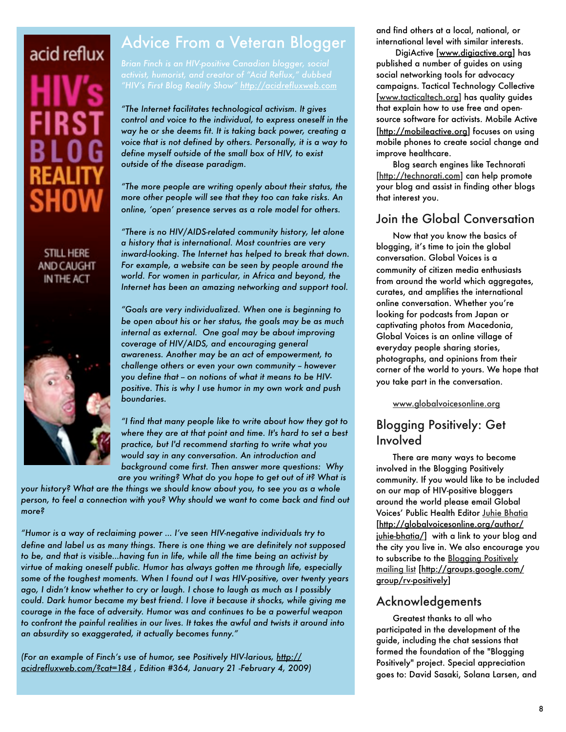# acid reflux

#### **STILL HERE** AND CAUGHT IN THE ACT



# Advice From a Veteran Blogger

*"HIV's First Blog Reality Show" <http://acidrefluxweb.com>*

*"The Internet facilitates technological activism. It gives control and voice to the individual, to express oneself in the way he or she deems fit. It is taking back power, creating a voice that is not defined by others. Personally, it is a way to define myself outside of the small box of HIV, to exist outside of the disease paradigm.*

*"The more people are writing openly about their status, the more other people will see that they too can take risks. An online, 'open' presence serves as a role model for others.*

*"There is no HIV/AIDS-related community history, let alone a history that is international. Most countries are very inward-looking. The Internet has helped to break that down. For example, a website can be seen by people around the world. For women in particular, in Africa and beyond, the Internet has been an amazing networking and support tool.*

*"Goals are very individualized. When one is beginning to be open about his or her status, the goals may be as much internal as external. One goal may be about improving coverage of HIV/AIDS, and encouraging general awareness. Another may be an act of empowerment, to challenge others or even your own community -- however*  you define that - on notions of what it means to be HIV*positive. This is why I use humor in my own work and push boundaries.*

*"I find that many people like to write about how they got to where they are at that point and time. It's hard to set a best practice, but I'd recommend starting to write what you would say in any conversation. An introduction and background come first. Then answer more questions: Why are you writing? What do you hope to get out of it? What is* 

*your history? What are the things we should know about you, to see you as a whole person, to feel a connection with you? Why should we want to come back and find out more?*

*"Humor is a way of reclaiming power … I've seen HIV-negative individuals try to define and label us as many things. There is one thing we are definitely not supposed to be, and that is visible…having fun in life, while all the time being an activist by virtue of making oneself public. Humor has always gotten me through life, especially some of the toughest moments. When I found out I was HIV-positive, over twenty years ago, I didn't know whether to cry or laugh. I chose to laugh as much as I possibly could. Dark humor became my best friend. I love it because it shocks, while giving me courage in the face of adversity. Humor was and continues to be a powerful weapon*  to confront the painful realities in our lives. It takes the awful and twists it around into *an absurdity so exaggerated, it actually becomes funny."*

*(For an example of Finch's use of humor, see Positively HIV-larious, [http://](http://acidrefluxweb.com/?cat=184) [acidrefluxweb.com/?cat=184](http://acidrefluxweb.com/?cat=184) , Edition #364, January 21 -February 4, 2009)* and find others at a local, national, or international level with similar interests.

 DigiActive [\[www.digiactive.org\]](http://www.digiactive.org) has published a number of guides on using social networking tools for advocacy campaigns. Tactical Technology Collective [\[www.tacticaltech.org\]](http://www.tacticaltech.org) has quality guides that explain how to use free and opensource software for activists. Mobile Active [\[http://mobileactive.org\]](http://mobileactive.org) focuses on using

mobile phones to create social change and improve healthcare.

Blog search engines like Technorati [\[http://technorati.com\]](http://technorati.com) can help promote your blog and assist in finding other blogs that interest you.

#### Join the Global Conversation

Now that you know the basics of blogging, it's time to join the global conversation. Global Voices is a community of citizen media enthusiasts from around the world which aggregates, curates, and amplifies the international online conversation. Whether you're looking for podcasts from Japan or captivating photos from Macedonia, Global Voices is an online village of everyday people sharing stories, photographs, and opinions from their corner of the world to yours. We hope that you take part in the conversation.

[www.globalvoicesonline.org](http://www.globalvoicesonline.org)

#### Blogging Positively: Get Involved

There are many ways to become involved in the Blogging Positively community. If you would like to be included on our map of HIV-positive bloggers around the world please email Global Voices' Public Health Editor [Juhie Bhatia](http://globalvoicesonline.org/author/juhie-bhatia/) [\[http://globalvoicesonline.org/author/](http://globalvoicesonline.org/author/juhie-bhatia/) [juhie-bhatia/\]](http://globalvoicesonline.org/author/juhie-bhatia/) with a link to your blog and the city you live in. We also encourage you to subscribe to the [Blogging Positively](http://groups.google.com/group/rv-positively)  [mailing list](http://groups.google.com/group/rv-positively) [\[http://groups.google.com/](http://groups.google.com/group/rv-positively) [group/rv-positively\]](http://groups.google.com/group/rv-positively)

#### Acknowledgements

Greatest thanks to all who participated in the development of the guide, including the chat sessions that formed the foundation of the "Blogging Positively" project. Special appreciation goes to: David Sasaki, Solana Larsen, and